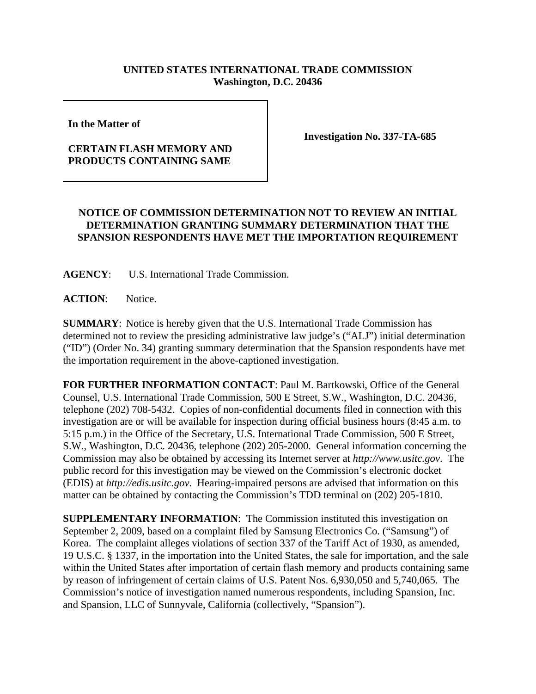## **UNITED STATES INTERNATIONAL TRADE COMMISSION Washington, D.C. 20436**

**In the Matter of** 

## **CERTAIN FLASH MEMORY AND PRODUCTS CONTAINING SAME**

**Investigation No. 337-TA-685**

## **NOTICE OF COMMISSION DETERMINATION NOT TO REVIEW AN INITIAL DETERMINATION GRANTING SUMMARY DETERMINATION THAT THE SPANSION RESPONDENTS HAVE MET THE IMPORTATION REQUIREMENT**

**AGENCY**: U.S. International Trade Commission.

**ACTION**: Notice.

**SUMMARY**: Notice is hereby given that the U.S. International Trade Commission has determined not to review the presiding administrative law judge's ("ALJ") initial determination ("ID") (Order No. 34) granting summary determination that the Spansion respondents have met the importation requirement in the above-captioned investigation.

**FOR FURTHER INFORMATION CONTACT**: Paul M. Bartkowski, Office of the General Counsel, U.S. International Trade Commission, 500 E Street, S.W., Washington, D.C. 20436, telephone (202) 708-5432. Copies of non-confidential documents filed in connection with this investigation are or will be available for inspection during official business hours (8:45 a.m. to 5:15 p.m.) in the Office of the Secretary, U.S. International Trade Commission, 500 E Street, S.W., Washington, D.C. 20436, telephone (202) 205-2000. General information concerning the Commission may also be obtained by accessing its Internet server at *http://www.usitc.gov*. The public record for this investigation may be viewed on the Commission's electronic docket (EDIS) at *http://edis.usitc.gov*. Hearing-impaired persons are advised that information on this matter can be obtained by contacting the Commission's TDD terminal on (202) 205-1810.

**SUPPLEMENTARY INFORMATION**: The Commission instituted this investigation on September 2, 2009, based on a complaint filed by Samsung Electronics Co. ("Samsung") of Korea. The complaint alleges violations of section 337 of the Tariff Act of 1930, as amended, 19 U.S.C. § 1337, in the importation into the United States, the sale for importation, and the sale within the United States after importation of certain flash memory and products containing same by reason of infringement of certain claims of U.S. Patent Nos. 6,930,050 and 5,740,065. The Commission's notice of investigation named numerous respondents, including Spansion, Inc. and Spansion, LLC of Sunnyvale, California (collectively, "Spansion").